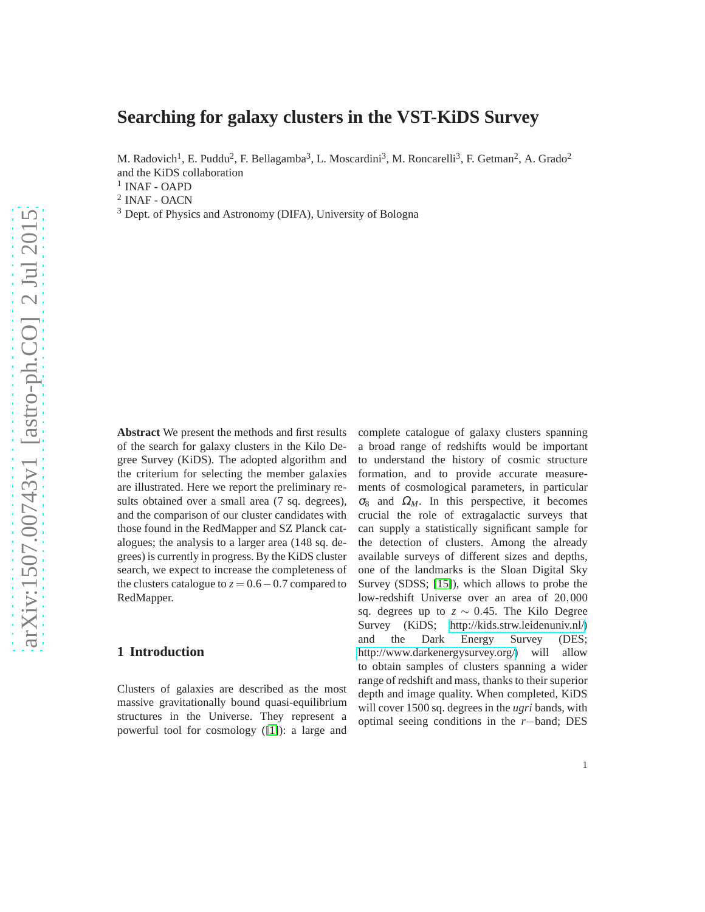# **Searching for galaxy clusters in the VST-KiDS Survey**

M. Radovich<sup>1</sup>, E. Puddu<sup>2</sup>, F. Bellagamba<sup>3</sup>, L. Moscardini<sup>3</sup>, M. Roncarelli<sup>3</sup>, F. Getman<sup>2</sup>, A. Grado<sup>2</sup> and the KiDS collaboration

<sup>1</sup> INAF - OAPD

2 INAF - OACN

<sup>3</sup> Dept. of Physics and Astronomy (DIFA), University of Bologna

**Abstract** We present the methods and first results of the search for galaxy clusters in the Kilo Degree Survey (KiDS). The adopted algorithm and the criterium for selecting the member galaxies are illustrated. Here we report the preliminary results obtained over a small area (7 sq. degrees), and the comparison of our cluster candidates with those found in the RedMapper and SZ Planck catalogues; the analysis to a larger area (148 sq. degrees) is currently in progress. By the KiDS cluster search, we expect to increase the completeness of the clusters catalogue to  $z = 0.6 - 0.7$  compared to RedMapper.

# **1 Introduction**

Clusters of galaxies are described as the most massive gravitationally bound quasi-equilibrium structures in the Universe. They represent a powerful tool for cosmology ([\[1\]](#page-3-0)): a large and

complete catalogue of galaxy clusters spanning a broad range of redshifts would be important to understand the history of cosmic structure formation, and to provide accurate measurements of cosmological parameters, in particular  $\sigma_8$  and  $\Omega_M$ . In this perspective, it becomes crucial the role of extragalactic surveys that can supply a statistically significant sample for the detection of clusters. Among the already available surveys of different sizes and depths, one of the landmarks is the Sloan Digital Sky Survey (SDSS; [\[15\]](#page-4-0)), which allows to probe the low-redshift Universe over an area of 20,000 sq. degrees up to  $z \sim 0.45$ . The Kilo Degree Survey (KiDS; [http://kids.strw.leidenuniv.nl/\)](http://kids.strw.leidenuniv.nl/) and the Dark Energy Survey (DES; [http://www.darkenergysurvey.org/\)](http://www.darkenergysurvey.org/) will allow to obtain samples of clusters spanning a wider range of redshift and mass, thanks to their superior depth and image quality. When completed, KiDS will cover 1500 sq. degrees in the *ugri* bands, with optimal seeing conditions in the *r*−band; DES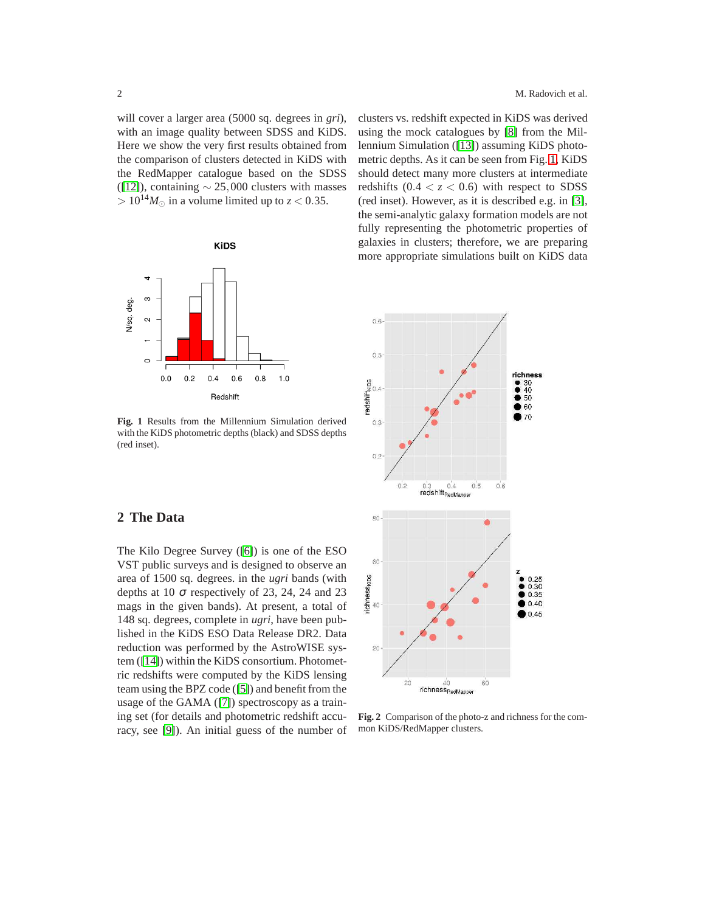will cover a larger area (5000 sq. degrees in *gri*), with an image quality between SDSS and KiDS. Here we show the very first results obtained from the comparison of clusters detected in KiDS with the RedMapper catalogue based on the SDSS ([\[12\]](#page-4-1)), containing  $\sim$  25,000 clusters with masses  $> 10^{14} M_{\odot}$  in a volume limited up to  $z < 0.35$ .



<span id="page-1-0"></span>**Fig. 1** Results from the Millennium Simulation derived with the KiDS photometric depths (black) and SDSS depths (red inset).

### **2 The Data**

The Kilo Degree Survey ([\[6\]](#page-3-1)) is one of the ESO VST public surveys and is designed to observe an area of 1500 sq. degrees. in the *ugri* bands (with depths at 10  $\sigma$  respectively of 23, 24, 24 and 23 mags in the given bands). At present, a total of 148 sq. degrees, complete in *ugri*, have been published in the KiDS ESO Data Release DR2. Data reduction was performed by the AstroWISE system ([\[14\]](#page-4-2)) within the KiDS consortium. Photometric redshifts were computed by the KiDS lensing team using the BPZ code ([\[5\]](#page-3-2)) and benefit from the usage of the GAMA ([\[7\]](#page-3-3)) spectroscopy as a training set (for details and photometric redshift accuracy, see [\[9\]](#page-4-3)). An initial guess of the number of

clusters vs. redshift expected in KiDS was derived using the mock catalogues by [\[8\]](#page-3-4) from the Millennium Simulation ([\[13\]](#page-4-4)) assuming KiDS photometric depths. As it can be seen from Fig. [1,](#page-1-0) KiDS should detect many more clusters at intermediate redshifts  $(0.4 < z < 0.6)$  with respect to SDSS (red inset). However, as it is described e.g. in [\[3\]](#page-3-5), the semi-analytic galaxy formation models are not fully representing the photometric properties of galaxies in clusters; therefore, we are preparing more appropriate simulations built on KiDS data



<span id="page-1-1"></span>**Fig. 2** Comparison of the photo-z and richness for the common KiDS/RedMapper clusters.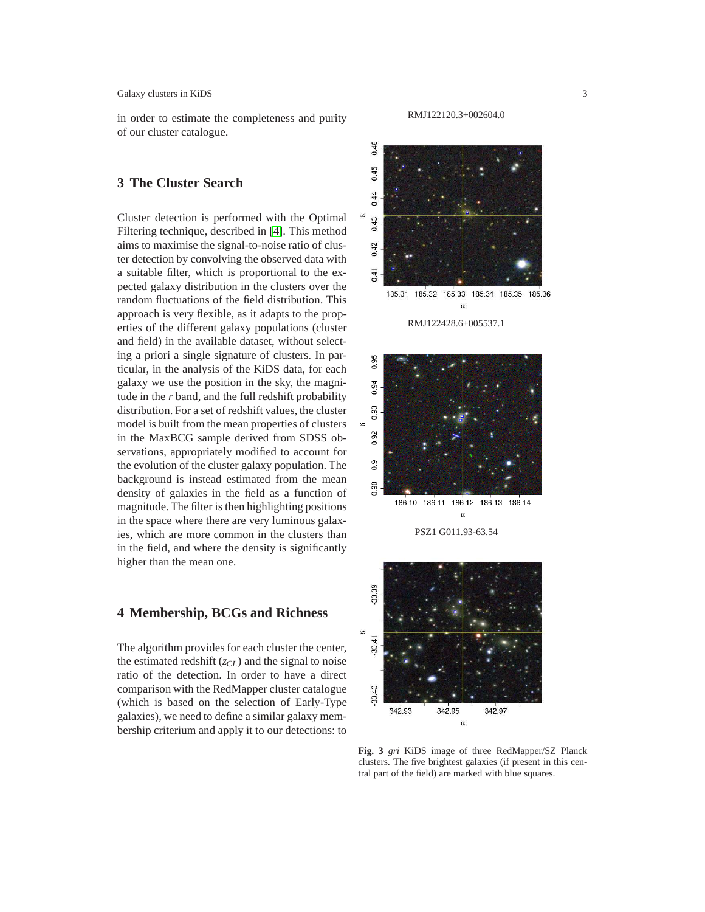in order to estimate the completeness and purity of our cluster catalogue.

# **3 The Cluster Search**

Cluster detection is performed with the Optimal Filtering technique, described in [\[4\]](#page-3-6). This method aims to maximise the signal-to-noise ratio of cluster detection by convolving the observed data with a suitable filter, which is proportional to the expected galaxy distribution in the clusters over the random fluctuations of the field distribution. This approach is very flexible, as it adapts to the properties of the different galaxy populations (cluster and field) in the available dataset, without selecting a priori a single signature of clusters. In particular, in the analysis of the KiDS data, for each galaxy we use the position in the sky, the magnitude in the *r* band, and the full redshift probability distribution. For a set of redshift values, the cluster model is built from the mean properties of clusters in the MaxBCG sample derived from SDSS observations, appropriately modified to account for the evolution of the cluster galaxy population. The background is instead estimated from the mean density of galaxies in the field as a function of magnitude. The filter is then highlighting positions in the space where there are very luminous galaxies, which are more common in the clusters than in the field, and where the density is significantly higher than the mean one.

#### **4 Membership, BCGs and Richness**

The algorithm provides for each cluster the center, the estimated redshift (*zCL*) and the signal to noise ratio of the detection. In order to have a direct comparison with the RedMapper cluster catalogue (which is based on the selection of Early-Type galaxies), we need to define a similar galaxy membership criterium and apply it to our detections: to

#### RMJ122120.3+002604.0



<span id="page-2-0"></span>**Fig. 3** *gri* KiDS image of three RedMapper/SZ Planck clusters. The five brightest galaxies (if present in this central part of the field) are marked with blue squares.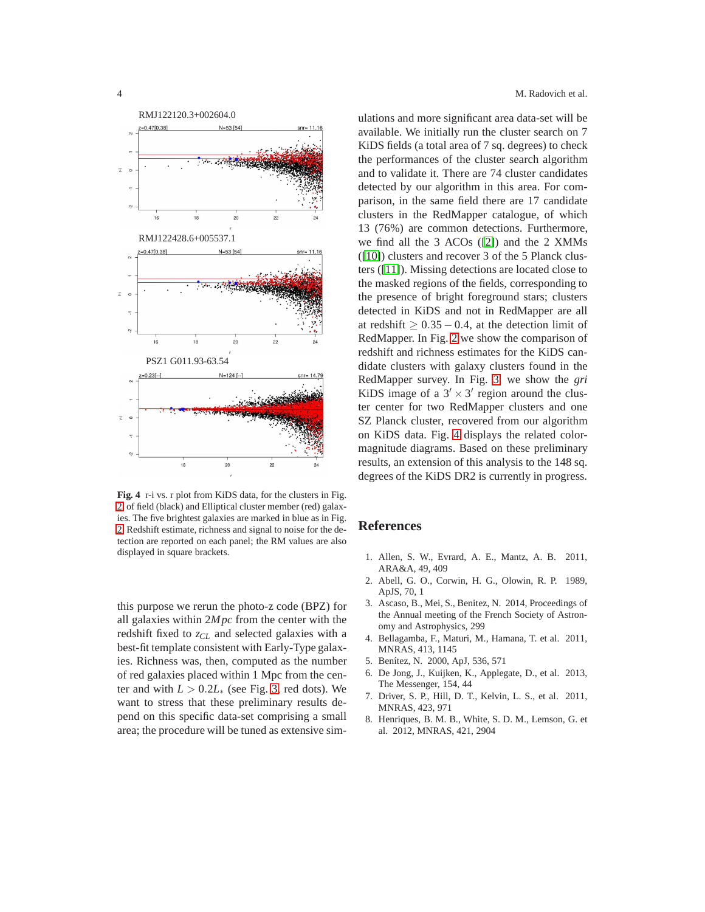

<span id="page-3-8"></span>**Fig. 4** r-i vs. r plot from KiDS data, for the clusters in Fig. [2,](#page-1-1) of field (black) and Elliptical cluster member (red) galaxies. The five brightest galaxies are marked in blue as in Fig. [2.](#page-1-1) Redshift estimate, richness and signal to noise for the detection are reported on each panel; the RM values are also displayed in square brackets.

this purpose we rerun the photo-z code (BPZ) for all galaxies within 2*Mpc* from the center with the redshift fixed to *zCL* and selected galaxies with a best-fit template consistent with Early-Type galaxies. Richness was, then, computed as the number of red galaxies placed within 1 Mpc from the center and with  $L > 0.2L_{\ast}$  (see Fig. [3,](#page-2-0) red dots). We want to stress that these preliminary results depend on this specific data-set comprising a small area; the procedure will be tuned as extensive sim-

ulations and more significant area data-set will be available. We initially run the cluster search on 7 KiDS fields (a total area of 7 sq. degrees) to check the performances of the cluster search algorithm and to validate it. There are 74 cluster candidates detected by our algorithm in this area. For comparison, in the same field there are 17 candidate clusters in the RedMapper catalogue, of which 13 (76%) are common detections. Furthermore, we find all the 3 ACOs ([\[2\]](#page-3-7)) and the 2 XMMs ([\[10\]](#page-4-5)) clusters and recover 3 of the 5 Planck clusters ([\[11\]](#page-4-6)). Missing detections are located close to the masked regions of the fields, corresponding to the presence of bright foreground stars; clusters detected in KiDS and not in RedMapper are all at redshift  $> 0.35 - 0.4$ , at the detection limit of RedMapper. In Fig. [2](#page-1-1) we show the comparison of redshift and richness estimates for the KiDS candidate clusters with galaxy clusters found in the RedMapper survey. In Fig. [3,](#page-2-0) we show the *gri* KiDS image of a  $3' \times 3'$  region around the cluster center for two RedMapper clusters and one SZ Planck cluster, recovered from our algorithm on KiDS data. Fig. [4](#page-3-8) displays the related colormagnitude diagrams. Based on these preliminary results, an extension of this analysis to the 148 sq. degrees of the KiDS DR2 is currently in progress.

#### **References**

- <span id="page-3-0"></span>1. Allen, S. W., Evrard, A. E., Mantz, A. B. 2011, ARA&A, 49, 409
- <span id="page-3-7"></span>2. Abell, G. O., Corwin, H. G., Olowin, R. P. 1989, ApJS, 70, 1
- <span id="page-3-5"></span>3. Ascaso, B., Mei, S., Benitez, N. 2014, Proceedings of the Annual meeting of the French Society of Astronomy and Astrophysics, 299
- <span id="page-3-6"></span>4. Bellagamba, F., Maturi, M., Hamana, T. et al. 2011, MNRAS, 413, 1145
- <span id="page-3-2"></span><span id="page-3-1"></span>5. Benítez, N. 2000, ApJ, 536, 571
- 6. De Jong, J., Kuijken, K., Applegate, D., et al. 2013, The Messenger, 154, 44
- <span id="page-3-3"></span>7. Driver, S. P., Hill, D. T., Kelvin, L. S., et al. 2011, MNRAS, 423, 971
- <span id="page-3-4"></span>8. Henriques, B. M. B., White, S. D. M., Lemson, G. et al. 2012, MNRAS, 421, 2904